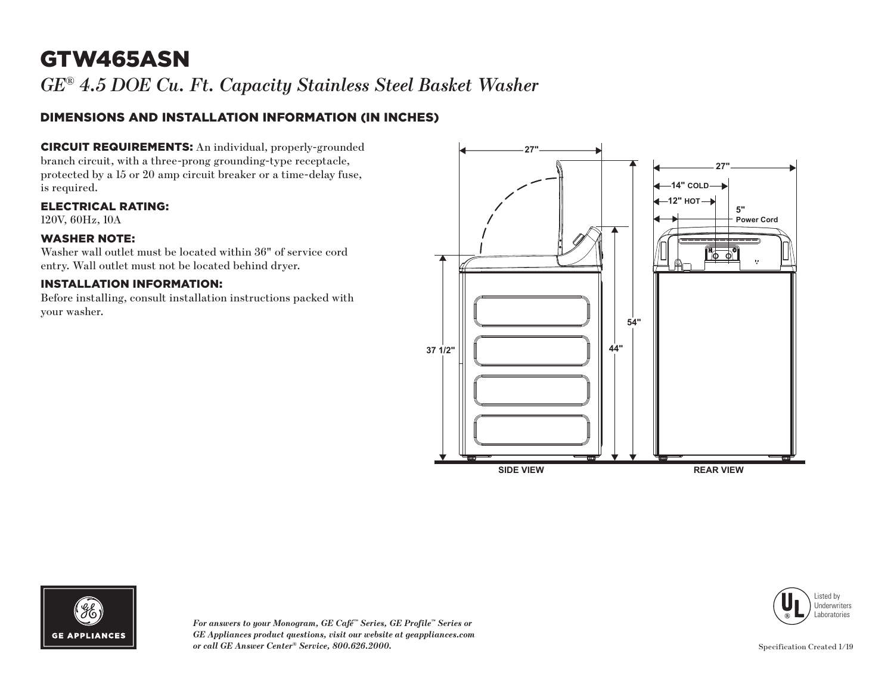# GTW465ASN

*GE® 4.5 DOE Cu. Ft. Capacity Stainless Steel Basket Washer*

### DIMENSIONS AND INSTALLATION INFORMATION (IN INCHES)

CIRCUIT REQUIREMENTS: An individual, properly-grounded branch circuit, with a three-prong grounding-type receptacle, protected by a 15 or 20 amp circuit breaker or a time-delay fuse, is required.

ELECTRICAL RATING:

120V, 60Hz, 10A

#### WASHER NOTE:

Washer wall outlet must be located within 36" of service cord entry. Wall outlet must not be located behind dryer.

#### INSTALLATION INFORMATION:

Before installing, consult installation instructions packed with your washer.







*For answers to your Monogram, GE Café™ Series, GE Profile™ Series or GE Appliances product questions, visit our website at geappliances.com or call GE Answer Center® Service, 800.626.2000.*